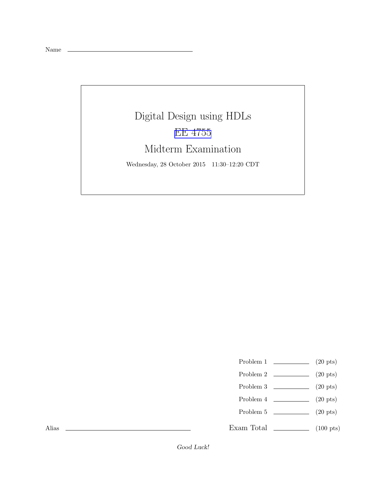Name

## Digital Design using HDLs [EE 4755](http://www.ece.lsu.edu/koppel/v/) Midterm Examination Wednesday, 28 October 2015 11:30–12:20 CDT

- Problem 1  $\qquad \qquad$  (20 pts)
- Problem 2  $\qquad \qquad$  (20 pts)
- Problem 3 (20 pts)
- Problem 4  $\qquad \qquad (20 \text{ pts})$
- Problem 5 (20 pts)
- Exam Total  $\qquad \qquad$  (100 pts)

Alias

Good Luck!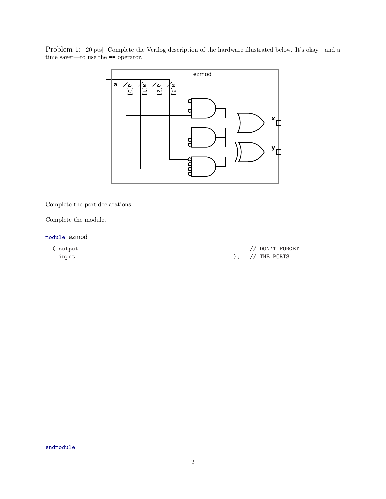Problem 1: [20 pts] Complete the Verilog description of the hardware illustrated below. It's okay—and a time saver—to use the == operator.



Complete the port declarations.

Complete the module.

## module ezmod

( output // DON'T FORGET  $\hspace{1.6cm} \textbf{input} \\$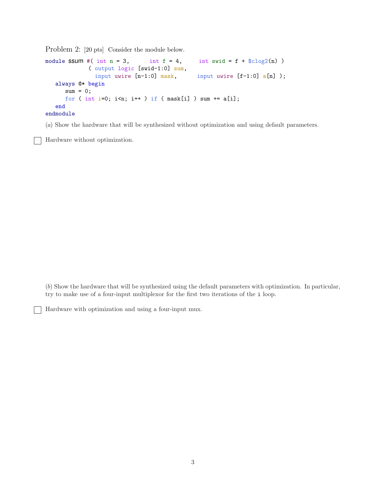Problem 2: [20 pts] Consider the module below.

```
module SSUM #( int n = 3, int f = 4, int swid = f + \text{\$clog2(n)})
            ( output logic [swid-1:0] sum,
               input uwire [n-1:0] mask, input uwire [f-1:0] a[n]);
  always @* begin
     sum = 0;
     for ( int i=0; i\le n; i++ ) if ( mask[i] ) sum += a[i];
   end
endmodule
```
(a) Show the hardware that will be synthesized without optimization and using default parameters.

Hardware without optimization.

(b) Show the hardware that will be synthesized using the default parameters with optimization. In particular, try to make use of a four-input multiplexor for the first two iterations of the i loop.

Hardware with optimization and using a four-input mux.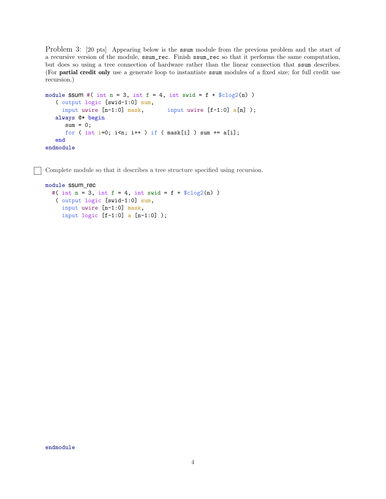Problem 3: [20 pts] Appearing below is the ssum module from the previous problem and the start of a recursive version of the module, ssum\_rec. Finish ssum\_rec so that it performs the same computation, but does so using a tree connection of hardware rather than the linear connection that ssum describes. (For partial credit only use a generate loop to instantiate ssum modules of a fixed size; for full credit use recursion.)

```
module SSUM #( int n = 3, int f = 4, int swid = f + clog(2(n))( output logic [swid-1:0] sum,
    input uwire [n-1:0] mask, input uwire [f-1:0] a[n]);
  always @* begin
     sum = 0;for ( int i=0; i\le n; i++ ) if ( mask[i] ) sum += a[i];
  end
endmodule
```
Complete module so that it describes a tree structure specified using recursion.

```
module ssum_rec
  #( int n = 3, int f = 4, int swid = f + \frac{6}{\cosh(2(n))}( output logic [swid-1:0] sum,
     input uwire [n-1:0] mask,
     input logic [f-1:0] a [n-1:0] );
```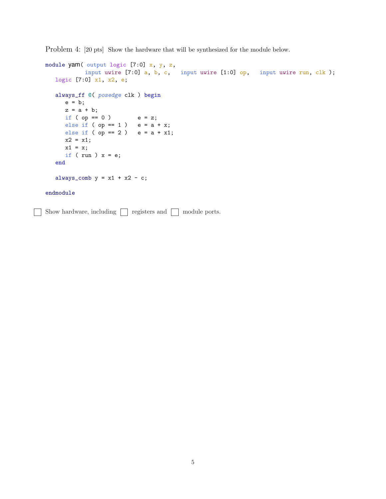Problem 4: [20 pts] Show the hardware that will be synthesized for the module below.

```
module yam( output logic [7:0] x, y, z,
           input uwire [7:0] a, b, c, input uwire [1:0] op, input uwire run, clk);
  logic [7:0] x1, x2, e;
  always_ff @( posedge clk ) begin
     e = b;z = a + b;if ( op == 0 ) e = z;else if ( op == 1 ) e = a + x;
     else if ( op == 2 ) e = a + x1;
     x2 = x1;x1 = x;if ( run ) x = e;
  end
  always_comb y = x1 + x2 - c;
endmodule
Show hardware, including \Box registers and \Box module ports.
```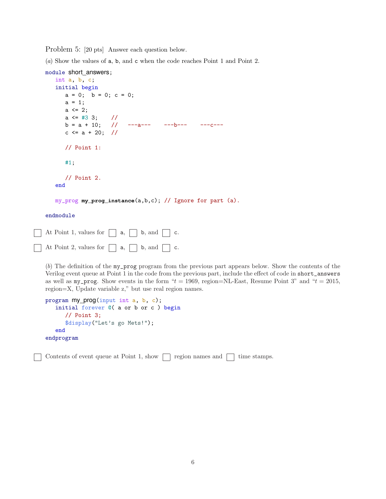Problem 5: [20 pts] Answer each question below.

(a) Show the values of a, b, and c when the code reaches Point 1 and Point 2.

```
module short_answers;
  int a, b, c;
  initial begin
     a = 0; b = 0; c = 0;
     a = 1;a \leq 2;a \le #3 3; //
     b = a + 10; // ---a--- ---b--- ---c---
     c \le a + 20; //
     // Point 1:
     #1;
     // Point 2.
  end
```
my\_prog **my\_prog\_instance**(a,b,c); // Ignore for part (a).

endmodule

| At Point 1, values for $\Box$ a, $\Box$ b, and $\Box$ c.        |  |  |  |  |  |
|-----------------------------------------------------------------|--|--|--|--|--|
| $\Box$ At Point 2, values for $\Box$ a, $\Box$ b, and $\Box$ c. |  |  |  |  |  |

(b) The definition of the my\_prog program from the previous part appears below. Show the contents of the Verilog event queue at Point 1 in the code from the previous part, include the effect of code in short\_answers as well as  $my\_prog$ . Show events in the form " $t = 1969$ , region=NL-East, Resume Point 3" and " $t = 2015$ , region=X, Update variable z," but use real region names.

```
program my_prog(input int a, b, c);
   initial forever @( a or b or c ) begin
      // Point 3;
      $display("Let's go Mets!");
   end
endprogram
```
Contents of event queue at Point 1, show  $\Box$  region names and  $\Box$  time stamps.